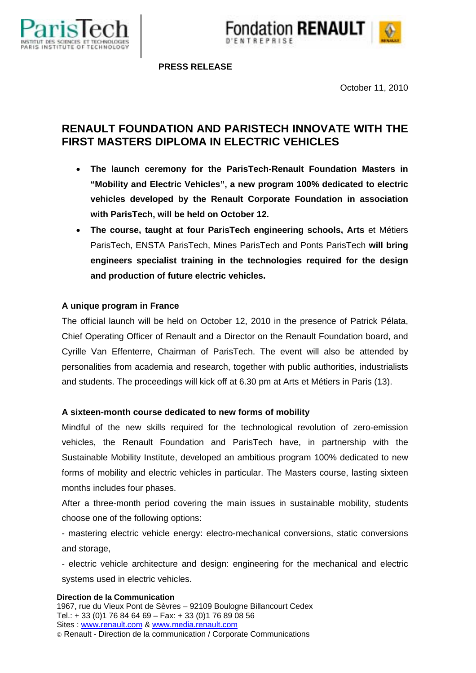



 **PRESS RELEASE**

October 11, 2010

# **RENAULT FOUNDATION AND PARISTECH INNOVATE WITH THE FIRST MASTERS DIPLOMA IN ELECTRIC VEHICLES**

- **The launch ceremony for the ParisTech-Renault Foundation Masters in "Mobility and Electric Vehicles", a new program 100% dedicated to electric vehicles developed by the Renault Corporate Foundation in association with ParisTech, will be held on October 12.**
- **The course, taught at four ParisTech engineering schools, Arts** et Métiers ParisTech, ENSTA ParisTech, Mines ParisTech and Ponts ParisTech **will bring engineers specialist training in the technologies required for the design and production of future electric vehicles.**

# **A unique program in France**

The official launch will be held on October 12, 2010 in the presence of Patrick Pélata, Chief Operating Officer of Renault and a Director on the Renault Foundation board, and Cyrille Van Effenterre, Chairman of ParisTech. The event will also be attended by personalities from academia and research, together with public authorities, industrialists and students. The proceedings will kick off at 6.30 pm at Arts et Métiers in Paris (13).

# **A sixteen-month course dedicated to new forms of mobility**

Mindful of the new skills required for the technological revolution of zero-emission vehicles, the Renault Foundation and ParisTech have, in partnership with the Sustainable Mobility Institute, developed an ambitious program 100% dedicated to new forms of mobility and electric vehicles in particular. The Masters course, lasting sixteen months includes four phases.

After a three-month period covering the main issues in sustainable mobility, students choose one of the following options:

- mastering electric vehicle energy: electro-mechanical conversions, static conversions and storage,

- electric vehicle architecture and design: engineering for the mechanical and electric systems used in electric vehicles.

#### **Direction de la Communication**

1967, rue du Vieux Pont de Sèvres – 92109 Boulogne Billancourt Cedex Tel.: + 33 (0)1 76 84 64 69 – Fax: + 33 (0)1 76 89 08 56 Sites : www.renault.com & www.media.renault.com Renault - Direction de la communication / Corporate Communications